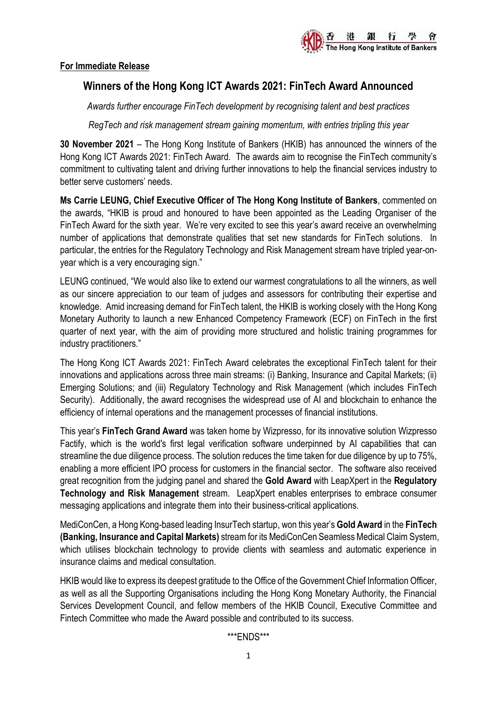

## **For Immediate Release**

# **Winners of the Hong Kong ICT Awards 2021: FinTech Award Announced**

*Awards further encourage FinTech development by recognising talent and best practices*

*RegTech and risk management stream gaining momentum, with entries tripling this year*

**30 November 2021** – The Hong Kong Institute of Bankers (HKIB) has announced the winners of the Hong Kong ICT Awards 2021: FinTech Award. The awards aim to recognise the FinTech community's commitment to cultivating talent and driving further innovations to help the financial services industry to better serve customers' needs.

**Ms Carrie LEUNG, Chief Executive Officer of The Hong Kong Institute of Bankers**, commented on the awards, "HKIB is proud and honoured to have been appointed as the Leading Organiser of the FinTech Award for the sixth year. We're very excited to see this year's award receive an overwhelming number of applications that demonstrate qualities that set new standards for FinTech solutions. In particular, the entries for the Regulatory Technology and Risk Management stream have tripled year-onyear which is a very encouraging sign."

LEUNG continued, "We would also like to extend our warmest congratulations to all the winners, as well as our sincere appreciation to our team of judges and assessors for contributing their expertise and knowledge. Amid increasing demand for FinTech talent, the HKIB is working closely with the Hong Kong Monetary Authority to launch a new Enhanced Competency Framework (ECF) on FinTech in the first quarter of next year, with the aim of providing more structured and holistic training programmes for industry practitioners."

The Hong Kong ICT Awards 2021: FinTech Award celebrates the exceptional FinTech talent for their innovations and applications across three main streams: (i) Banking, Insurance and Capital Markets; (ii) Emerging Solutions; and (iii) Regulatory Technology and Risk Management (which includes FinTech Security). Additionally, the award recognises the widespread use of AI and blockchain to enhance the efficiency of internal operations and the management processes of financial institutions.

This year's **FinTech Grand Award** was taken home by Wizpresso, for its innovative solution Wizpresso Factify, which is the world's first legal verification software underpinned by AI capabilities that can streamline the due diligence process. The solution reduces the time taken for due diligence by up to 75%, enabling a more efficient IPO process for customers in the financial sector. The software also received great recognition from the judging panel and shared the **Gold Award** with LeapXpert in the **Regulatory Technology and Risk Management** stream. LeapXpert enables enterprises to embrace consumer messaging applications and integrate them into their business-critical applications.

MediConCen, a Hong Kong-based leading InsurTech startup, won this year's **Gold Award** in the **FinTech (Banking, Insurance and Capital Markets)** stream for its MediConCen Seamless Medical Claim System, which utilises blockchain technology to provide clients with seamless and automatic experience in insurance claims and medical consultation.

HKIB would like to express its deepest gratitude to the Office of the Government Chief Information Officer, as well as all the Supporting Organisations including the Hong Kong Monetary Authority, the Financial Services Development Council, and fellow members of the HKIB Council, Executive Committee and Fintech Committee who made the Award possible and contributed to its success.

\*\*\*ENDS\*\*\*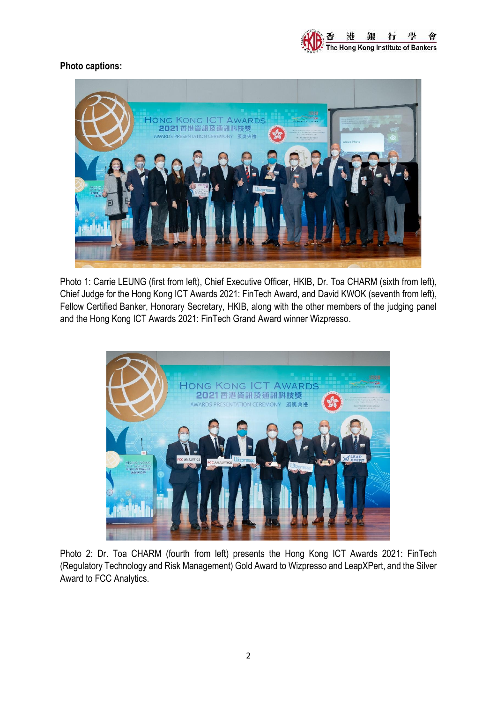

# **Photo captions:**



Photo 1: Carrie LEUNG (first from left), Chief Executive Officer, HKIB, Dr. Toa CHARM (sixth from left), Chief Judge for the Hong Kong ICT Awards 2021: FinTech Award, and David KWOK (seventh from left), Fellow Certified Banker, Honorary Secretary, HKIB, along with the other members of the judging panel and the Hong Kong ICT Awards 2021: FinTech Grand Award winner Wizpresso.



Photo 2: Dr. Toa CHARM (fourth from left) presents the Hong Kong ICT Awards 2021: FinTech (Regulatory Technology and Risk Management) Gold Award to Wizpresso and LeapXPert, and the Silver Award to FCC Analytics.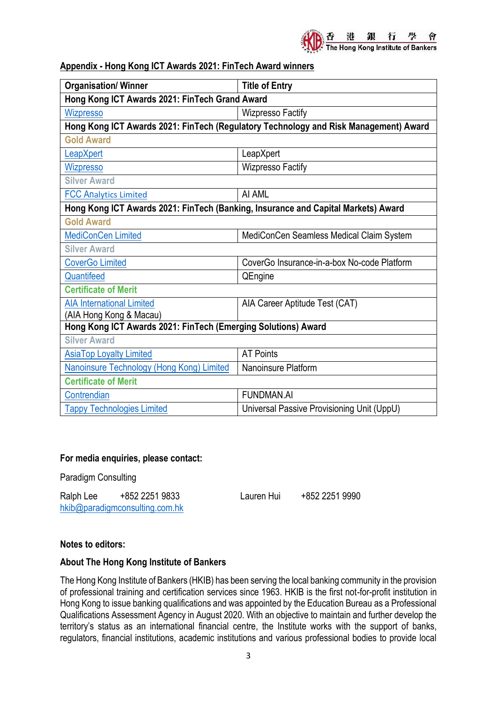## **Appendix - Hong Kong ICT Awards 2021: FinTech Award winners**

| <b>Organisation/ Winner</b>                                                          | <b>Title of Entry</b>                       |
|--------------------------------------------------------------------------------------|---------------------------------------------|
| Hong Kong ICT Awards 2021: FinTech Grand Award                                       |                                             |
| <b>Wizpresso</b>                                                                     | <b>Wizpresso Factify</b>                    |
| Hong Kong ICT Awards 2021: FinTech (Regulatory Technology and Risk Management) Award |                                             |
| <b>Gold Award</b>                                                                    |                                             |
| LeapXpert                                                                            | LeapXpert                                   |
| <b>Wizpresso</b>                                                                     | <b>Wizpresso Factify</b>                    |
| <b>Silver Award</b>                                                                  |                                             |
| <b>FCC Analytics Limited</b>                                                         | AI AML                                      |
| Hong Kong ICT Awards 2021: FinTech (Banking, Insurance and Capital Markets) Award    |                                             |
| <b>Gold Award</b>                                                                    |                                             |
| <b>MediConCen Limited</b>                                                            | MediConCen Seamless Medical Claim System    |
| <b>Silver Award</b>                                                                  |                                             |
| <b>CoverGo Limited</b>                                                               | CoverGo Insurance-in-a-box No-code Platform |
| Quantifeed                                                                           | QEngine                                     |
| <b>Certificate of Merit</b>                                                          |                                             |
| <b>AIA International Limited</b>                                                     | AIA Career Aptitude Test (CAT)              |
| (AIA Hong Kong & Macau)                                                              |                                             |
| Hong Kong ICT Awards 2021: FinTech (Emerging Solutions) Award                        |                                             |
| <b>Silver Award</b>                                                                  |                                             |
| <b>AsiaTop Loyalty Limited</b>                                                       | <b>AT Points</b>                            |
| Nanoinsure Technology (Hong Kong) Limited                                            | Nanoinsure Platform                         |
| <b>Certificate of Merit</b>                                                          |                                             |
| Contrendian                                                                          | <b>FUNDMAN.AI</b>                           |
| <b>Tappy Technologies Limited</b>                                                    | Universal Passive Provisioning Unit (UppU)  |

# **For media enquiries, please contact:**

Paradigm Consulting

Ralph Lee +852 2251 9833 Lauren Hui +852 2251 9990 [hkib@paradigmconsulting.com.hk](mailto:hkib@paradigmconsulting.com.hk)

### **Notes to editors:**

### **About The Hong Kong Institute of Bankers**

The Hong Kong Institute of Bankers (HKIB) has been serving the local banking community in the provision of professional training and certification services since 1963. HKIB is the first not-for-profit institution in Hong Kong to issue banking qualifications and was appointed by the Education Bureau as a Professional Qualifications Assessment Agency in August 2020. With an objective to maintain and further develop the territory's status as an international financial centre, the Institute works with the support of banks, regulators, financial institutions, academic institutions and various professional bodies to provide local